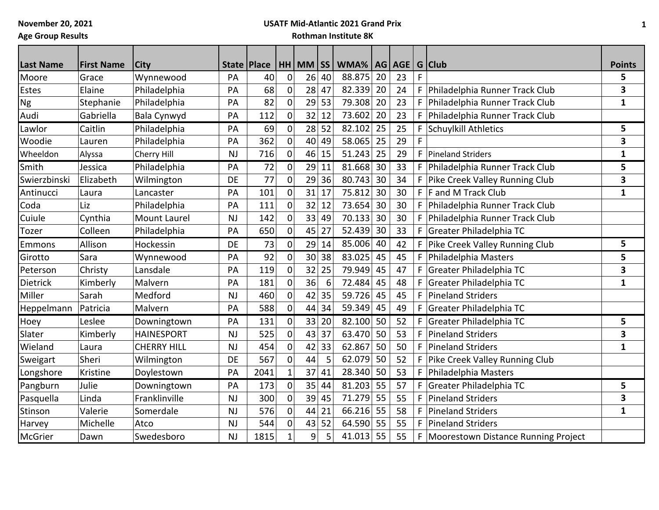# **Age Group Results**

# **USATF Mid-Atlantic 2021 Grand Prix**

| <b>Last Name</b> | <b>First Name</b> | <b>City</b>         | <b>State Place</b> |      |                | HH MM SS        |       | WMA%   AG   AGE   G   Club |    |    |             |                                     | <b>Points</b> |
|------------------|-------------------|---------------------|--------------------|------|----------------|-----------------|-------|----------------------------|----|----|-------------|-------------------------------------|---------------|
| Moore            | Grace             | Wynnewood           | PA                 | 40   | $\mathbf 0$    | 26              | 40    | 88.875                     | 20 | 23 | F           |                                     | 5             |
| Estes            | Elaine            | Philadelphia        | PA                 | 68   | 0              | 28              | 47    | 82.339                     | 20 | 24 | F           | Philadelphia Runner Track Club      | 3             |
| <b>Ng</b>        | Stephanie         | Philadelphia        | PA                 | 82   | $\mathbf 0$    | 29              | 53    | 79.308                     | 20 | 23 | F           | Philadelphia Runner Track Club      | $\mathbf{1}$  |
| Audi             | Gabriella         | Bala Cynwyd         | PA                 | 112  | $\pmb{0}$      | 32              | 12    | 73.602                     | 20 | 23 | F           | Philadelphia Runner Track Club      |               |
| Lawlor           | Caitlin           | Philadelphia        | PA                 | 69   | $\mathbf 0$    |                 | 28 52 | 82.102                     | 25 | 25 | F.          | Schuylkill Athletics                | 5             |
| Woodie           | Lauren            | Philadelphia        | PA                 | 362  | $\mathbf 0$    | 40              | 49    | 58.065                     | 25 | 29 | F           |                                     | 3             |
| Wheeldon         | Alyssa            | Cherry Hill         | <b>NJ</b>          | 716  | 0              | 46              | 15    | 51.243                     | 25 | 29 | F.          | <b>Pineland Striders</b>            | $\mathbf{1}$  |
| Smith            | Jessica           | Philadelphia        | PA                 | 72   | $\pmb{0}$      | 29              | 11    | 81.668                     | 30 | 33 |             | F   Philadelphia Runner Track Club  | 5             |
| Swierzbinski     | Elizabeth         | Wilmington          | <b>DE</b>          | 77   | $\overline{0}$ | 29              | 36    | 80.743                     | 30 | 34 | F.          | Pike Creek Valley Running Club      | 3             |
| Antinucci        | Laura             | Lancaster           | PA                 | 101  | $\mathbf 0$    | 31              | 17    | 75.812                     | 30 | 30 | F           | <b>F</b> and M Track Club           | $\mathbf{1}$  |
| Coda             | Liz               | Philadelphia        | PA                 | 111  | $\mathbf 0$    | 32              | 12    | 73.654                     | 30 | 30 | F           | Philadelphia Runner Track Club      |               |
| Cuiule           | Cynthia           | <b>Mount Laurel</b> | NJ                 | 142  | $\mathbf 0$    | 33              | 49    | 70.133                     | 30 | 30 | F           | Philadelphia Runner Track Club      |               |
| Tozer            | Colleen           | Philadelphia        | PA                 | 650  | $\pmb{0}$      | 45              | 27    | 52.439                     | 30 | 33 | F.          | Greater Philadelphia TC             |               |
| Emmons           | Allison           | Hockessin           | DE                 | 73   | $\mathbf 0$    | 29              | 14    | 85.006                     | 40 | 42 | F.          | Pike Creek Valley Running Club      | 5             |
| Girotto          | Sara              | Wynnewood           | PA                 | 92   | $\mathbf 0$    | 30 <sup>1</sup> | 38    | 83.025                     | 45 | 45 | F           | Philadelphia Masters                | 5             |
| Peterson         | Christy           | Lansdale            | PA                 | 119  | 0              | 32              | 25    | 79.949                     | 45 | 47 |             | Greater Philadelphia TC             | 3             |
| <b>Dietrick</b>  | Kimberly          | Malvern             | PA                 | 181  | $\mathbf 0$    | 36              | 6     | 72.484                     | 45 | 48 |             | Greater Philadelphia TC             | $\mathbf{1}$  |
| Miller           | Sarah             | Medford             | <b>NJ</b>          | 460  | $\mathbf 0$    | 42              | 35    | 59.726                     | 45 | 45 | F           | Pineland Striders                   |               |
| Heppelmann       | Patricia          | Malvern             | PA                 | 588  | 0              | 44              | 34    | 59.349                     | 45 | 49 | F.          | Greater Philadelphia TC             |               |
| Hoey             | Leslee            | Downingtown         | PA                 | 131  | $\pmb{0}$      | 33              | 20    | 82.100                     | 50 | 52 | F.          | Greater Philadelphia TC             | 5             |
| Slater           | Kimberly          | <b>HAINESPORT</b>   | <b>NJ</b>          | 525  | $\mathbf 0$    | 43              | 37    | 63.470                     | 50 | 53 | F           | <b>Pineland Striders</b>            | 3             |
| Wieland          | Laura             | <b>CHERRY HILL</b>  | <b>NJ</b>          | 454  | $\pmb{0}$      | 42              | 33    | 62.867                     | 50 | 50 | $\mathsf F$ | Pineland Striders                   | $\mathbf{1}$  |
| Sweigart         | Sheri             | Wilmington          | <b>DE</b>          | 567  | $\mathbf 0$    | 44              | 5     | 62.079                     | 50 | 52 | F           | Pike Creek Valley Running Club      |               |
| Longshore        | Kristine          | Doylestown          | PA                 | 2041 | $\mathbf 1$    | 37              | 41    | 28.340                     | 50 | 53 | F           | Philadelphia Masters                |               |
| Pangburn         | Julie             | Downingtown         | PA                 | 173  | $\mathbf 0$    | 35              | 44    | 81.203                     | 55 | 57 | F.          | Greater Philadelphia TC             | 5             |
| Pasquella        | Linda             | Franklinville       | <b>NJ</b>          | 300  | $\mathbf 0$    | 39              | 45    | 71.279                     | 55 | 55 | F           | <b>Pineland Striders</b>            | 3             |
| Stinson          | Valerie           | Somerdale           | <b>NJ</b>          | 576  | $\mathbf 0$    | 44              | 21    | 66.216                     | 55 | 58 | F           | Pineland Striders                   | $\mathbf{1}$  |
| Harvey           | Michelle          | Atco                | <b>NJ</b>          | 544  | $\mathbf 0$    | 43              | 52    | 64.590                     | 55 | 55 | F           | <b>Pineland Striders</b>            |               |
| McGrier          | Dawn              | Swedesboro          | <b>NJ</b>          | 1815 | $\mathbf{1}$   | $\overline{9}$  | 5     | 41.013 55                  |    | 55 | F.          | Moorestown Distance Running Project |               |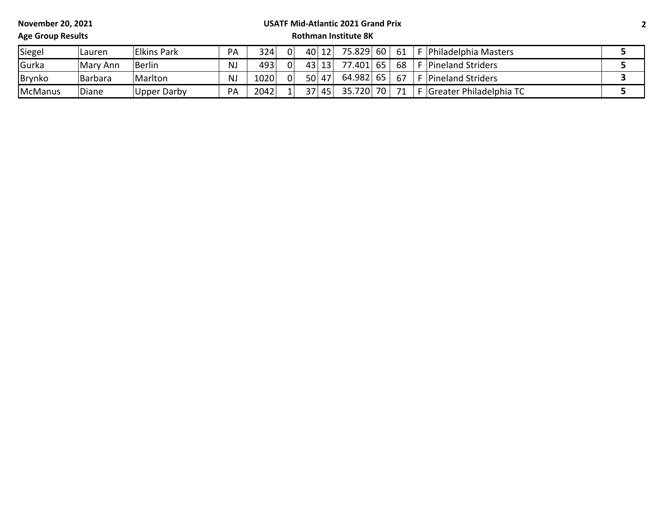#### **USATF Mid-Atlantic 2021 Grand Prix**

**Age Group Results**

| Siegel  | Lauren         | Elkins Park | PA | 324  | 0. | 401 | 12 | 75.829  | 60 | -61 | Philadelphia Masters      |  |
|---------|----------------|-------------|----|------|----|-----|----|---------|----|-----|---------------------------|--|
| Gurka   | Mary Ann       | Berlin      | N. | 493  | 0  | 431 | 12 | 77.401  | 65 | 68  | <b>Pineland Striders</b>  |  |
| Brynko  | <b>Barbara</b> | Marlton     | N, | 1020 | 0  | 50  | 47 | 64.9821 | 65 | 67  | <b>Pineland Striders</b>  |  |
| McManus | 'Diane         | Upper Darby | PA | 2042 |    | 771 | 45 | 35.720  | 70 | 74  | F Greater Philadelphia TC |  |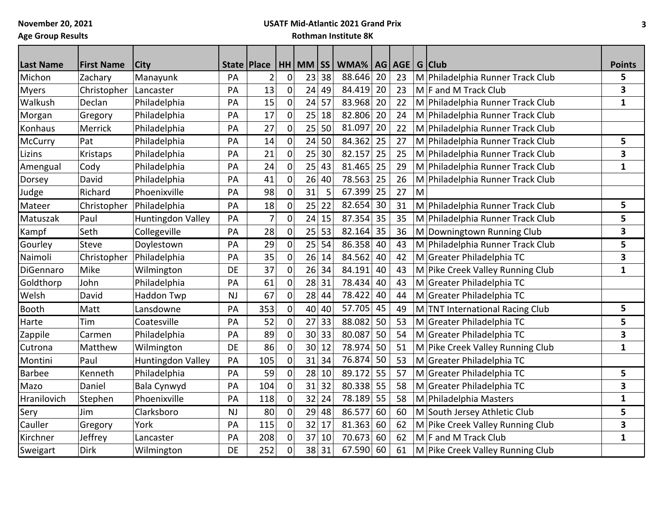# **Age Group Results**

# **USATF Mid-Atlantic 2021 Grand Prix**

| <b>Last Name</b> | <b>First Name</b> | <b>City</b>              |           | State   Place |                | HH MM SS        |       | WMA%   AG   AGE   G   Club |    |    |   |                                  | <b>Points</b> |
|------------------|-------------------|--------------------------|-----------|---------------|----------------|-----------------|-------|----------------------------|----|----|---|----------------------------------|---------------|
| Michon           | Zachary           | Manayunk                 | PA        | 2             | $\mathbf 0$    | 23              | 38    | 88.646                     | 20 | 23 |   | M Philadelphia Runner Track Club | 5             |
| <b>Myers</b>     | Christopher       | Lancaster                | PA        | 13            | 0              | 24              | 49    | 84.419                     | 20 | 23 |   | M F and M Track Club             | 3             |
| Walkush          | Declan            | Philadelphia             | PA        | 15            | $\mathbf 0$    | 24              | 57    | 83.968                     | 20 | 22 |   | M Philadelphia Runner Track Club | $\mathbf{1}$  |
| Morgan           | Gregory           | Philadelphia             | PA        | 17            | $\mathbf 0$    | 25              | 18    | 82.806                     | 20 | 24 |   | M Philadelphia Runner Track Club |               |
| Konhaus          | Merrick           | Philadelphia             | PA        | 27            | $\mathbf 0$    | 25              | 50    | 81.097                     | 20 | 22 |   | M Philadelphia Runner Track Club |               |
| <b>McCurry</b>   | Pat               | Philadelphia             | PA        | 14            | 0              |                 | 24 50 | 84.362                     | 25 | 27 |   | M Philadelphia Runner Track Club | 5             |
| Lizins           | Kristaps          | Philadelphia             | PA        | 21            | $\mathbf 0$    | 25              | 30    | 82.157                     | 25 | 25 |   | M Philadelphia Runner Track Club | 3             |
| Amengual         | Cody              | Philadelphia             | PA        | 24            | $\mathbf 0$    | 25              | 43    | 81.465                     | 25 | 29 |   | M Philadelphia Runner Track Club | $\mathbf{1}$  |
| Dorsey           | David             | Philadelphia             | PA        | 41            | 0              | 26              | 40    | 78.563                     | 25 | 26 |   | M Philadelphia Runner Track Club |               |
| Judge            | Richard           | Phoenixville             | PA        | 98            | $\mathbf 0$    | 31              | 5     | 67.399                     | 25 | 27 | M |                                  |               |
| Mateer           | Christopher       | Philadelphia             | PA        | 18            | $\mathbf 0$    | 25              | 22    | 82.654                     | 30 | 31 |   | M Philadelphia Runner Track Club | 5             |
| Matuszak         | Paul              | Huntingdon Valley        | PA        | 7             | $\mathbf 0$    | 24              | 15    | 87.354                     | 35 | 35 |   | M Philadelphia Runner Track Club | 5             |
| Kampf            | Seth              | Collegeville             | PA        | 28            | $\mathbf 0$    | 25              | 53    | 82.164                     | 35 | 36 |   | M Downingtown Running Club       | 3             |
| Gourley          | <b>Steve</b>      | Doylestown               | PA        | 29            | $\overline{0}$ | 25              | 54    | 86.358                     | 40 | 43 |   | M Philadelphia Runner Track Club | 5             |
| Naimoli          | Christopher       | Philadelphia             | PA        | 35            | $\mathbf 0$    | 26              | 14    | 84.562                     | 40 | 42 |   | M Greater Philadelphia TC        | 3             |
| DiGennaro        | Mike              | Wilmington               | DE        | 37            | $\mathbf 0$    | 26              | 34    | 84.191                     | 40 | 43 |   | M Pike Creek Valley Running Club | $\mathbf{1}$  |
| Goldthorp        | John              | Philadelphia             | PA        | 61            | $\overline{0}$ | 28              | 31    | 78.434                     | 40 | 43 |   | M Greater Philadelphia TC        |               |
| Welsh            | David             | <b>Haddon Twp</b>        | <b>NJ</b> | 67            | $\mathbf 0$    | 28              | 44    | 78.422                     | 40 | 44 |   | M Greater Philadelphia TC        |               |
| Booth            | Matt              | Lansdowne                | PA        | 353           | $\mathbf 0$    | 40              | 40    | 57.705                     | 45 | 49 |   | M TNT International Racing Club  | 5             |
| Harte            | Tim               | Coatesville              | PA        | 52            | $\mathbf 0$    | 27              | 33    | 88.082                     | 50 | 53 |   | M Greater Philadelphia TC        | 5             |
| Zappile          | Carmen            | Philadelphia             | PA        | 89            | $\mathbf 0$    | 30 <sup>°</sup> | 33    | 80.087                     | 50 | 54 |   | M Greater Philadelphia TC        | 3             |
| Cutrona          | Matthew           | Wilmington               | <b>DE</b> | 86            | $\mathbf 0$    | 30 <sup>°</sup> | 12    | 78.974                     | 50 | 51 |   | M Pike Creek Valley Running Club | $\mathbf{1}$  |
| Montini          | Paul              | <b>Huntingdon Valley</b> | PA        | 105           | $\mathbf 0$    | 31              | 34    | 76.874                     | 50 | 53 |   | M Greater Philadelphia TC        |               |
| <b>Barbee</b>    | Kenneth           | Philadelphia             | PA        | 59            | $\mathbf 0$    | 28              | 10    | 89.172                     | 55 | 57 |   | M Greater Philadelphia TC        | 5             |
| Mazo             | Daniel            | Bala Cynwyd              | PA        | 104           | $\mathbf 0$    | 31              | 32    | 80.338                     | 55 | 58 |   | M Greater Philadelphia TC        | 3             |
| Hranilovich      | Stephen           | Phoenixville             | PA        | 118           | $\mathbf 0$    | 32              | 24    | 78.189                     | 55 | 58 |   | M   Philadelphia Masters         | $\mathbf{1}$  |
| Sery             | Jim               | Clarksboro               | NJ        | 80            | $\mathbf 0$    | 29              | 48    | 86.577                     | 60 | 60 |   | M South Jersey Athletic Club     | 5             |
| Cauller          | Gregory           | York                     | PA        | 115           | $\pmb{0}$      | 32              | 17    | 81.363                     | 60 | 62 |   | M Pike Creek Valley Running Club | 3             |
| Kirchner         | Jeffrey           | Lancaster                | PA        | 208           | $\mathbf 0$    | 37              | 10    | 70.673                     | 60 | 62 |   | $M$ F and M Track Club           | $\mathbf{1}$  |
| Sweigart         | <b>Dirk</b>       | Wilmington               | DE        | 252           | $\overline{0}$ | 38              | 31    | 67.590                     | 60 | 61 |   | M Pike Creek Valley Running Club |               |